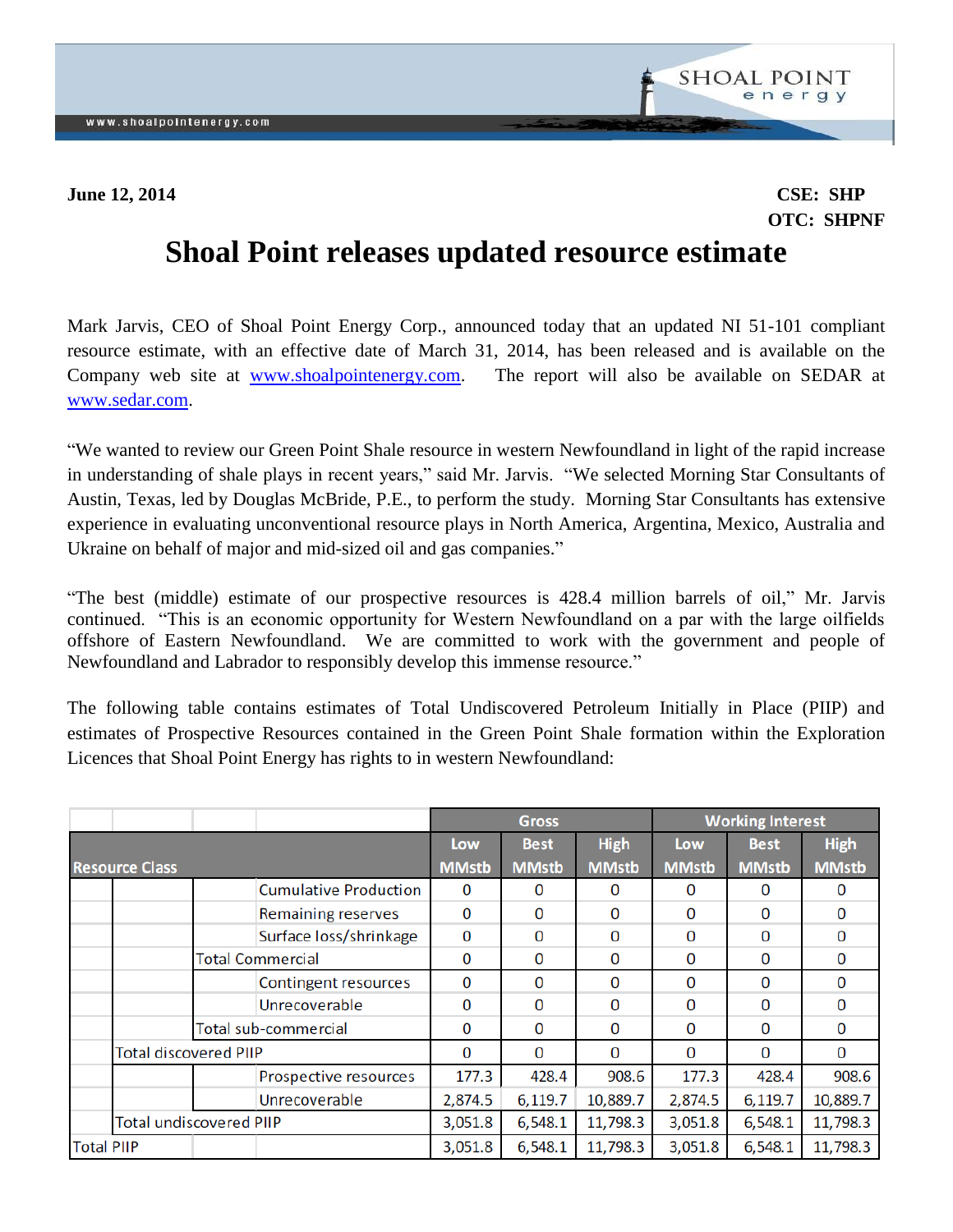

## **OTC: SHPNF**

## **Shoal Point releases updated resource estimate**

Mark Jarvis, CEO of Shoal Point Energy Corp., announced today that an updated NI 51-101 compliant resource estimate, with an effective date of March 31, 2014, has been released and is available on the Company web site at [www.shoalpointenergy.com.](http://www.shoalpointenergy.com/) The report will also be available on SEDAR at [www.sedar.com.](http://www.sedar.com/)

"We wanted to review our Green Point Shale resource in western Newfoundland in light of the rapid increase in understanding of shale plays in recent years," said Mr. Jarvis. "We selected Morning Star Consultants of Austin, Texas, led by Douglas McBride, P.E., to perform the study. Morning Star Consultants has extensive experience in evaluating unconventional resource plays in North America, Argentina, Mexico, Australia and Ukraine on behalf of major and mid-sized oil and gas companies."

"The best (middle) estimate of our prospective resources is 428.4 million barrels of oil," Mr. Jarvis continued. "This is an economic opportunity for Western Newfoundland on a par with the large oilfields offshore of Eastern Newfoundland. We are committed to work with the government and people of Newfoundland and Labrador to responsibly develop this immense resource."

The following table contains estimates of Total Undiscovered Petroleum Initially in Place (PIIP) and estimates of Prospective Resources contained in the Green Point Shale formation within the Exploration Licences that Shoal Point Energy has rights to in western Newfoundland:

|                       |                                |                         |                              | <b>Gross</b> |              |              | <b>Working Interest</b> |              |             |
|-----------------------|--------------------------------|-------------------------|------------------------------|--------------|--------------|--------------|-------------------------|--------------|-------------|
|                       |                                |                         |                              | Low          | <b>Best</b>  | <b>High</b>  | Low                     | <b>Best</b>  | <b>High</b> |
| <b>Resource Class</b> |                                |                         | <b>MMstb</b>                 | <b>MMstb</b> | <b>MMstb</b> | <b>MMstb</b> | <b>MMstb</b>            | <b>MMstb</b> |             |
|                       |                                |                         | <b>Cumulative Production</b> | 0            | 0            | 0            | 0                       | 0            | O           |
|                       |                                |                         | <b>Remaining reserves</b>    | 0            | 0            | 0            | 0                       | 0            | 0           |
|                       |                                |                         | Surface loss/shrinkage       | 0            | 0            | 0            | 0                       | 0            | 0           |
|                       |                                | <b>Total Commercial</b> |                              | 0            | 0            | 0            | 0                       | 0            | 0           |
|                       |                                |                         | Contingent resources         | 0            | 0            | 0            | 0                       | 0            | 0           |
|                       |                                |                         | Unrecoverable                | 0            | 0            | 0            | 0                       | 0            | 0           |
|                       |                                | Total sub-commercial    |                              | 0            | 0            | 0            | 0                       | 0            | 0           |
|                       | <b>Total discovered PIIP</b>   |                         |                              | 0            | 0            | $\Omega$     | 0                       | $\Omega$     | 0           |
|                       |                                |                         | Prospective resources        | 177.3        | 428.4        | 908.6        | 177.3                   | 428.4        | 908.6       |
|                       |                                |                         | Unrecoverable                | 2,874.5      | 6,119.7      | 10,889.7     | 2,874.5                 | 6,119.7      | 10,889.7    |
|                       | <b>Total undiscovered PIIP</b> |                         |                              | 3,051.8      | 6,548.1      | 11,798.3     | 3,051.8                 | 6,548.1      | 11,798.3    |
|                       | <b>Total PIIP</b>              |                         | 3,051.8                      | 6,548.1      | 11,798.3     | 3,051.8      | 6,548.1                 | 11,798.3     |             |